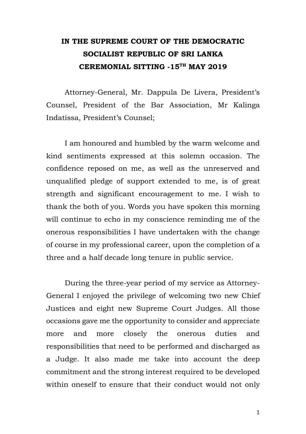## **IN THE SUPREME COURT OF THE DEMOCRATIC SOCIALIST REPUBLIC OF SRI LANKA CEREMONIAL SITTING -15TH MAY 2019**

Attorney-General, Mr. Dappula De Livera, President's Counsel, President of the Bar Association, Mr Kalinga Indatissa, President's Counsel;

I am honoured and humbled by the warm welcome and kind sentiments expressed at this solemn occasion. The confidence reposed on me, as well as the unreserved and unqualified pledge of support extended to me, is of great strength and significant encouragement to me. I wish to thank the both of you. Words you have spoken this morning will continue to echo in my conscience reminding me of the onerous responsibilities I have undertaken with the change of course in my professional career, upon the completion of a three and a half decade long tenure in public service.

During the three-year period of my service as Attorney-General I enjoyed the privilege of welcoming two new Chief Justices and eight new Supreme Court Judges. All those occasions gave me the opportunity to consider and appreciate more and more closely the onerous duties and responsibilities that need to be performed and discharged as a Judge. It also made me take into account the deep commitment and the strong interest required to be developed within oneself to ensure that their conduct would not only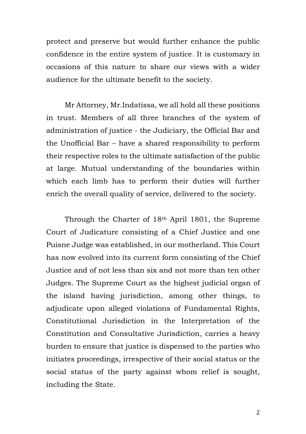protect and preserve but would further enhance the public confidence in the entire system of justice. It is customary in occasions of this nature to share our views with a wider audience for the ultimate benefit to the society.

Mr Attorney, Mr.Indatissa, we all hold all these positions in trust. Members of all three branches of the system of administration of justice - the Judiciary, the Official Bar and the Unofficial Bar – have a shared responsibility to perform their respective roles to the ultimate satisfaction of the public at large. Mutual understanding of the boundaries within which each limb has to perform their duties will further enrich the overall quality of service, delivered to the society.

Through the Charter of 18th April 1801, the Supreme Court of Judicature consisting of a Chief Justice and one Puisne Judge was established, in our motherland. This Court has now evolved into its current form consisting of the Chief Justice and of not less than six and not more than ten other Judges. The Supreme Court as the highest judicial organ of the island having jurisdiction, among other things, to adjudicate upon alleged violations of Fundamental Rights, Constitutional Jurisdiction in the Interpretation of the Constitution and Consultative Jurisdiction, carries a heavy burden to ensure that justice is dispensed to the parties who initiates proceedings, irrespective of their social status or the social status of the party against whom relief is sought, including the State.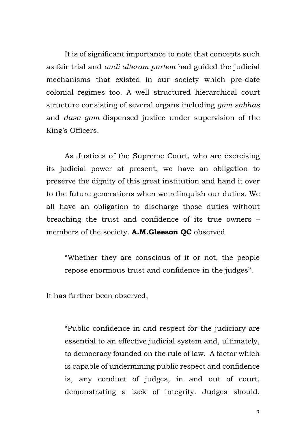It is of significant importance to note that concepts such as fair trial and *audi alteram partem* had guided the judicial mechanisms that existed in our society which pre-date colonial regimes too. A well structured hierarchical court structure consisting of several organs including *gam sabhas* and *dasa gam* dispensed justice under supervision of the King's Officers.

As Justices of the Supreme Court, who are exercising its judicial power at present, we have an obligation to preserve the dignity of this great institution and hand it over to the future generations when we relinquish our duties. We all have an obligation to discharge those duties without breaching the trust and confidence of its true owners – members of the society. **A.M.Gleeson QC** observed

"Whether they are conscious of it or not, the people repose enormous trust and confidence in the judges".

It has further been observed,

"Public confidence in and respect for the judiciary are essential to an effective judicial system and, ultimately, to democracy founded on the rule of law. A factor which is capable of undermining public respect and confidence is, any conduct of judges, in and out of court, demonstrating a lack of integrity. Judges should,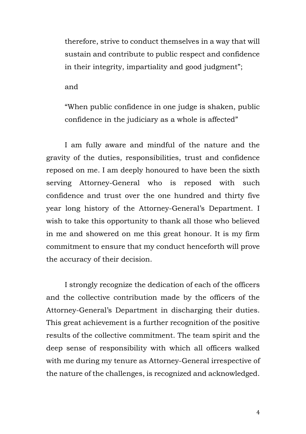therefore, strive to conduct themselves in a way that will sustain and contribute to public respect and confidence in their integrity, impartiality and good judgment";

and

"When public confidence in one judge is shaken, public confidence in the judiciary as a whole is affected"

I am fully aware and mindful of the nature and the gravity of the duties, responsibilities, trust and confidence reposed on me. I am deeply honoured to have been the sixth serving Attorney-General who is reposed with such confidence and trust over the one hundred and thirty five year long history of the Attorney-General's Department. I wish to take this opportunity to thank all those who believed in me and showered on me this great honour. It is my firm commitment to ensure that my conduct henceforth will prove the accuracy of their decision.

I strongly recognize the dedication of each of the officers and the collective contribution made by the officers of the Attorney-General's Department in discharging their duties. This great achievement is a further recognition of the positive results of the collective commitment. The team spirit and the deep sense of responsibility with which all officers walked with me during my tenure as Attorney-General irrespective of the nature of the challenges, is recognized and acknowledged.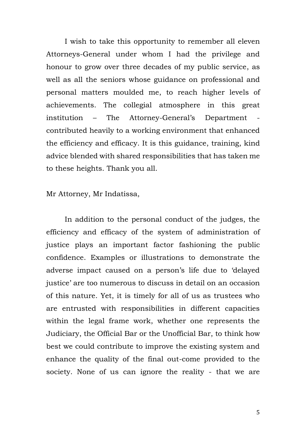I wish to take this opportunity to remember all eleven Attorneys-General under whom I had the privilege and honour to grow over three decades of my public service, as well as all the seniors whose guidance on professional and personal matters moulded me, to reach higher levels of achievements. The collegial atmosphere in this great institution – The Attorney-General's Department contributed heavily to a working environment that enhanced the efficiency and efficacy. It is this guidance, training, kind advice blended with shared responsibilities that has taken me to these heights. Thank you all.

Mr Attorney, Mr Indatissa,

In addition to the personal conduct of the judges, the efficiency and efficacy of the system of administration of justice plays an important factor fashioning the public confidence. Examples or illustrations to demonstrate the adverse impact caused on a person's life due to 'delayed justice' are too numerous to discuss in detail on an occasion of this nature. Yet, it is timely for all of us as trustees who are entrusted with responsibilities in different capacities within the legal frame work, whether one represents the Judiciary, the Official Bar or the Unofficial Bar, to think how best we could contribute to improve the existing system and enhance the quality of the final out-come provided to the society. None of us can ignore the reality - that we are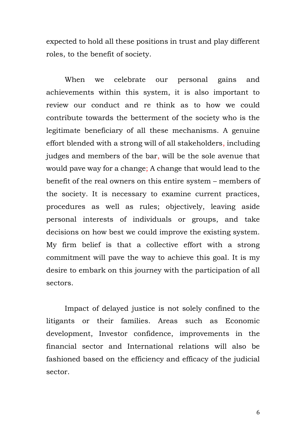expected to hold all these positions in trust and play different roles, to the benefit of society.

When we celebrate our personal gains and achievements within this system, it is also important to review our conduct and re think as to how we could contribute towards the betterment of the society who is the legitimate beneficiary of all these mechanisms. A genuine effort blended with a strong will of all stakeholders, including judges and members of the bar, will be the sole avenue that would pave way for a change; A change that would lead to the benefit of the real owners on this entire system – members of the society. It is necessary to examine current practices, procedures as well as rules; objectively, leaving aside personal interests of individuals or groups, and take decisions on how best we could improve the existing system. My firm belief is that a collective effort with a strong commitment will pave the way to achieve this goal. It is my desire to embark on this journey with the participation of all sectors.

Impact of delayed justice is not solely confined to the litigants or their families. Areas such as Economic development, Investor confidence, improvements in the financial sector and International relations will also be fashioned based on the efficiency and efficacy of the judicial sector.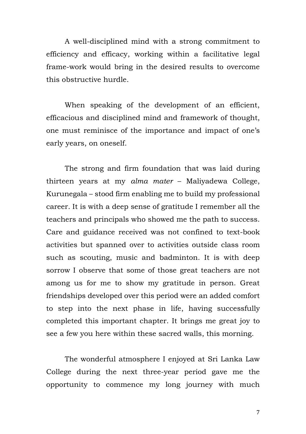A well-disciplined mind with a strong commitment to efficiency and efficacy, working within a facilitative legal frame-work would bring in the desired results to overcome this obstructive hurdle.

When speaking of the development of an efficient, efficacious and disciplined mind and framework of thought, one must reminisce of the importance and impact of one's early years, on oneself.

The strong and firm foundation that was laid during thirteen years at my *alma mater* – Maliyadewa College, Kurunegala – stood firm enabling me to build my professional career. It is with a deep sense of gratitude I remember all the teachers and principals who showed me the path to success. Care and guidance received was not confined to text-book activities but spanned over to activities outside class room such as scouting, music and badminton. It is with deep sorrow I observe that some of those great teachers are not among us for me to show my gratitude in person. Great friendships developed over this period were an added comfort to step into the next phase in life, having successfully completed this important chapter. It brings me great joy to see a few you here within these sacred walls, this morning.

The wonderful atmosphere I enjoyed at Sri Lanka Law College during the next three-year period gave me the opportunity to commence my long journey with much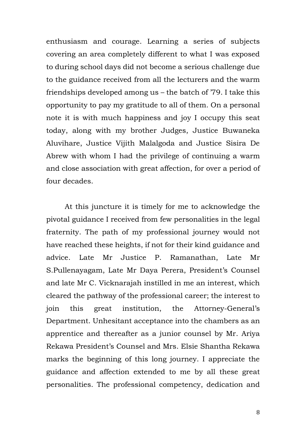enthusiasm and courage. Learning a series of subjects covering an area completely different to what I was exposed to during school days did not become a serious challenge due to the guidance received from all the lecturers and the warm friendships developed among us – the batch of '79. I take this opportunity to pay my gratitude to all of them. On a personal note it is with much happiness and joy I occupy this seat today, along with my brother Judges, Justice Buwaneka Aluvihare, Justice Vijith Malalgoda and Justice Sisira De Abrew with whom I had the privilege of continuing a warm and close association with great affection, for over a period of four decades.

At this juncture it is timely for me to acknowledge the pivotal guidance I received from few personalities in the legal fraternity. The path of my professional journey would not have reached these heights, if not for their kind guidance and advice. Late Mr Justice P. Ramanathan, Late Mr S.Pullenayagam, Late Mr Daya Perera, President's Counsel and late Mr C. Vicknarajah instilled in me an interest, which cleared the pathway of the professional career; the interest to join this great institution, the Attorney-General's Department. Unhesitant acceptance into the chambers as an apprentice and thereafter as a junior counsel by Mr. Ariya Rekawa President's Counsel and Mrs. Elsie Shantha Rekawa marks the beginning of this long journey. I appreciate the guidance and affection extended to me by all these great personalities. The professional competency, dedication and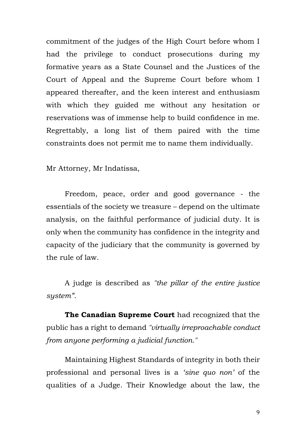commitment of the judges of the High Court before whom I had the privilege to conduct prosecutions during my formative years as a State Counsel and the Justices of the Court of Appeal and the Supreme Court before whom I appeared thereafter, and the keen interest and enthusiasm with which they guided me without any hesitation or reservations was of immense help to build confidence in me. Regrettably, a long list of them paired with the time constraints does not permit me to name them individually.

Mr Attorney, Mr Indatissa,

Freedom, peace, order and good governance - the essentials of the society we treasure – depend on the ultimate analysis, on the faithful performance of judicial duty. It is only when the community has confidence in the integrity and capacity of the judiciary that the community is governed by the rule of law.

A judge is described as *"the pillar of the entire justice system"*.

**The Canadian Supreme Court** had recognized that the public has a right to demand *"virtually irreproachable conduct from anyone performing a judicial function."*

Maintaining Highest Standards of integrity in both their professional and personal lives is a *'sine quo non'* of the qualities of a Judge. Their Knowledge about the law, the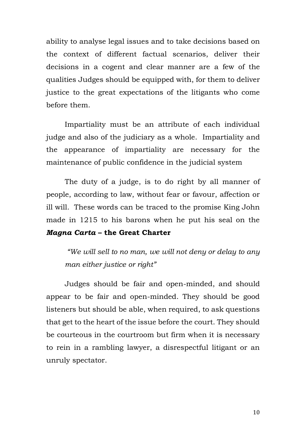ability to analyse legal issues and to take decisions based on the context of different factual scenarios, deliver their decisions in a cogent and clear manner are a few of the qualities Judges should be equipped with, for them to deliver justice to the great expectations of the litigants who come before them.

Impartiality must be an attribute of each individual judge and also of the judiciary as a whole. Impartiality and the appearance of impartiality are necessary for the maintenance of public confidence in the judicial system

The duty of a judge, is to do right by all manner of people, according to law, without fear or favour, affection or ill will. These words can be traced to the promise King John made in 1215 to his barons when he put his seal on the *Magna Carta* **– the Great Charter**

*"We will sell to no man, we will not deny or delay to any man either justice or right"*

Judges should be fair and open-minded, and should appear to be fair and open-minded. They should be good listeners but should be able, when required, to ask questions that get to the heart of the issue before the court. They should be courteous in the courtroom but firm when it is necessary to rein in a rambling lawyer, a disrespectful litigant or an unruly spectator.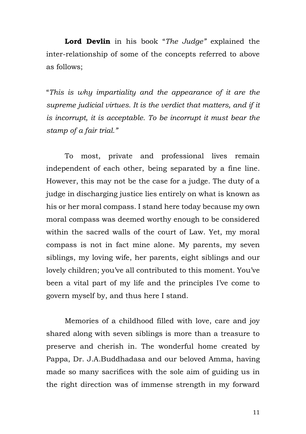**Lord Devlin** in his book "*The Judge"* explained the inter-relationship of some of the concepts referred to above as follows;

"*This is why impartiality and the appearance of it are the supreme judicial virtues. It is the verdict that matters, and if it is incorrupt, it is acceptable. To be incorrupt it must bear the stamp of a fair trial."*

To most, private and professional lives remain independent of each other, being separated by a fine line. However, this may not be the case for a judge. The duty of a judge in discharging justice lies entirely on what is known as his or her moral compass. I stand here today because my own moral compass was deemed worthy enough to be considered within the sacred walls of the court of Law. Yet, my moral compass is not in fact mine alone. My parents, my seven siblings, my loving wife, her parents, eight siblings and our lovely children; you've all contributed to this moment. You've been a vital part of my life and the principles I've come to govern myself by, and thus here I stand.

Memories of a childhood filled with love, care and joy shared along with seven siblings is more than a treasure to preserve and cherish in. The wonderful home created by Pappa, Dr. J.A.Buddhadasa and our beloved Amma, having made so many sacrifices with the sole aim of guiding us in the right direction was of immense strength in my forward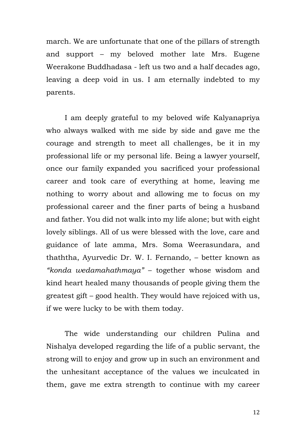march. We are unfortunate that one of the pillars of strength and support – my beloved mother late Mrs. Eugene Weerakone Buddhadasa - left us two and a half decades ago, leaving a deep void in us. I am eternally indebted to my parents.

I am deeply grateful to my beloved wife Kalyanapriya who always walked with me side by side and gave me the courage and strength to meet all challenges, be it in my professional life or my personal life. Being a lawyer yourself, once our family expanded you sacrificed your professional career and took care of everything at home, leaving me nothing to worry about and allowing me to focus on my professional career and the finer parts of being a husband and father. You did not walk into my life alone; but with eight lovely siblings. All of us were blessed with the love, care and guidance of late amma, Mrs. Soma Weerasundara, and thaththa, Ayurvedic Dr. W. I. Fernando, – better known as *"konda wedamahathmaya"* – together whose wisdom and kind heart healed many thousands of people giving them the greatest gift – good health. They would have rejoiced with us, if we were lucky to be with them today.

The wide understanding our children Pulina and Nishalya developed regarding the life of a public servant, the strong will to enjoy and grow up in such an environment and the unhesitant acceptance of the values we inculcated in them, gave me extra strength to continue with my career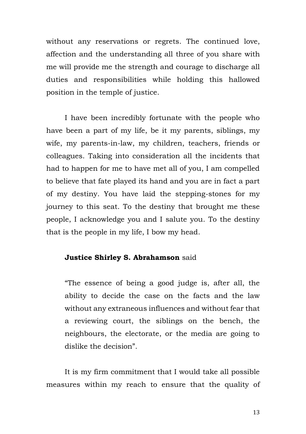without any reservations or regrets. The continued love, affection and the understanding all three of you share with me will provide me the strength and courage to discharge all duties and responsibilities while holding this hallowed position in the temple of justice.

I have been incredibly fortunate with the people who have been a part of my life, be it my parents, siblings, my wife, my parents-in-law, my children, teachers, friends or colleagues. Taking into consideration all the incidents that had to happen for me to have met all of you, I am compelled to believe that fate played its hand and you are in fact a part of my destiny. You have laid the stepping-stones for my journey to this seat. To the destiny that brought me these people, I acknowledge you and I salute you. To the destiny that is the people in my life, I bow my head.

## **Justice Shirley S. Abrahamson** said

"The essence of being a good judge is, after all, the ability to decide the case on the facts and the law without any extraneous influences and without fear that a reviewing court, the siblings on the bench, the neighbours, the electorate, or the media are going to dislike the decision".

It is my firm commitment that I would take all possible measures within my reach to ensure that the quality of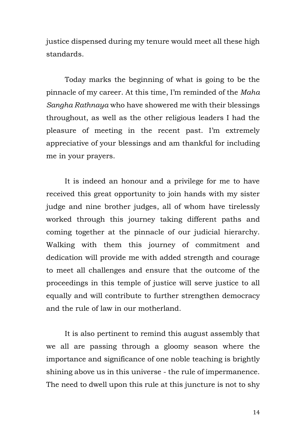justice dispensed during my tenure would meet all these high standards.

Today marks the beginning of what is going to be the pinnacle of my career. At this time, I'm reminded of the *Maha Sangha Rathnaya* who have showered me with their blessings throughout, as well as the other religious leaders I had the pleasure of meeting in the recent past. I'm extremely appreciative of your blessings and am thankful for including me in your prayers.

It is indeed an honour and a privilege for me to have received this great opportunity to join hands with my sister judge and nine brother judges, all of whom have tirelessly worked through this journey taking different paths and coming together at the pinnacle of our judicial hierarchy. Walking with them this journey of commitment and dedication will provide me with added strength and courage to meet all challenges and ensure that the outcome of the proceedings in this temple of justice will serve justice to all equally and will contribute to further strengthen democracy and the rule of law in our motherland.

It is also pertinent to remind this august assembly that we all are passing through a gloomy season where the importance and significance of one noble teaching is brightly shining above us in this universe - the rule of impermanence. The need to dwell upon this rule at this juncture is not to shy